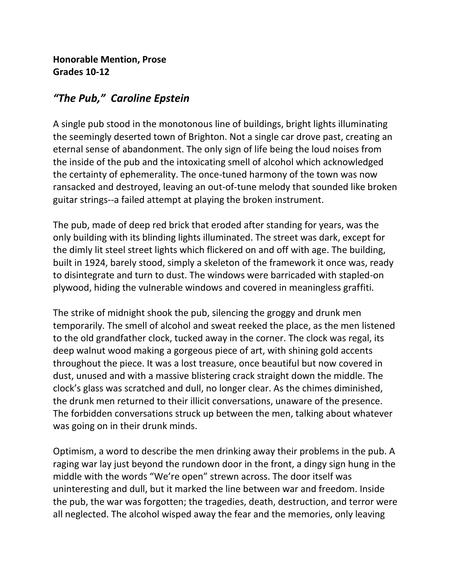## **Honorable Mention, Prose Grades 10-12**

## *"The Pub," Caroline Epstein*

A single pub stood in the monotonous line of buildings, bright lights illuminating the seemingly deserted town of Brighton. Not a single car drove past, creating an eternal sense of abandonment. The only sign of life being the loud noises from the inside of the pub and the intoxicating smell of alcohol which acknowledged the certainty of ephemerality. The once-tuned harmony of the town was now ransacked and destroyed, leaving an out-of-tune melody that sounded like broken guitar strings--a failed attempt at playing the broken instrument.

The pub, made of deep red brick that eroded after standing for years, was the only building with its blinding lights illuminated. The street was dark, except for the dimly lit steel street lights which flickered on and off with age. The building, built in 1924, barely stood, simply a skeleton of the framework it once was, ready to disintegrate and turn to dust. The windows were barricaded with stapled-on plywood, hiding the vulnerable windows and covered in meaningless graffiti.

The strike of midnight shook the pub, silencing the groggy and drunk men temporarily. The smell of alcohol and sweat reeked the place, as the men listened to the old grandfather clock, tucked away in the corner. The clock was regal, its deep walnut wood making a gorgeous piece of art, with shining gold accents throughout the piece. It was a lost treasure, once beautiful but now covered in dust, unused and with a massive blistering crack straight down the middle. The clock's glass was scratched and dull, no longer clear. As the chimes diminished, the drunk men returned to their illicit conversations, unaware of the presence. The forbidden conversations struck up between the men, talking about whatever was going on in their drunk minds.

Optimism, a word to describe the men drinking away their problems in the pub. A raging war lay just beyond the rundown door in the front, a dingy sign hung in the middle with the words "We're open" strewn across. The door itself was uninteresting and dull, but it marked the line between war and freedom. Inside the pub, the war was forgotten; the tragedies, death, destruction, and terror were all neglected. The alcohol wisped away the fear and the memories, only leaving